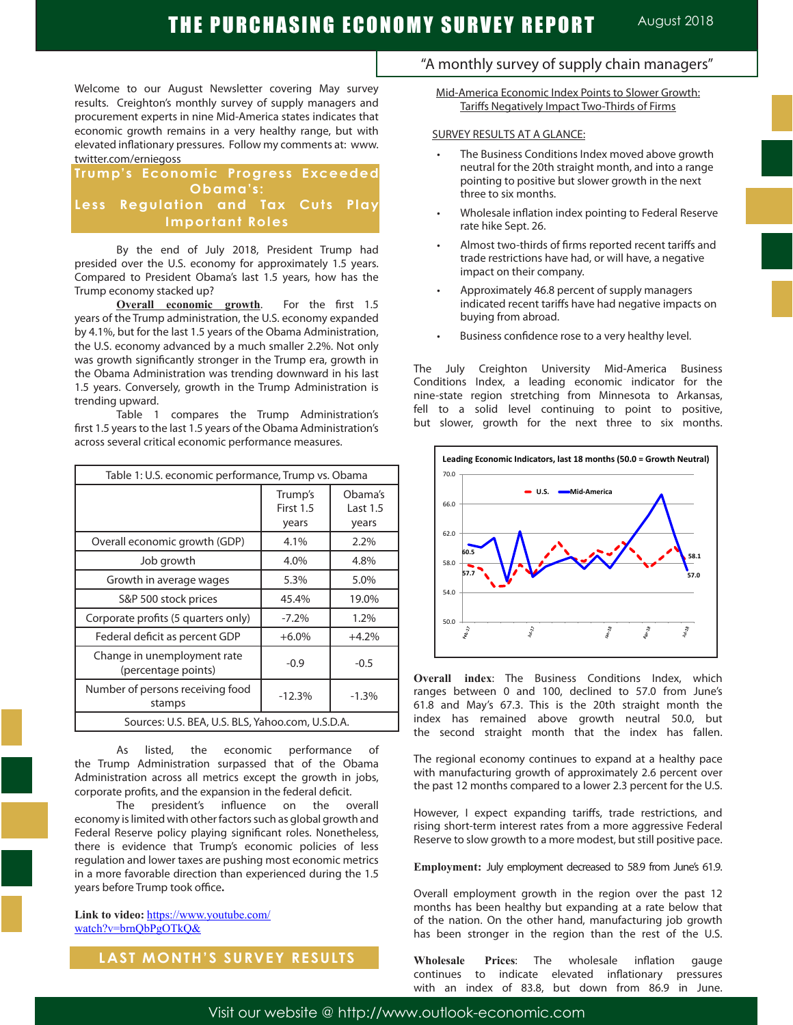Welcome to our August Newsletter covering May survey results. Creighton's monthly survey of supply managers and procurement experts in nine Mid-America states indicates that economic growth remains in a very healthy range, but with elevated inflationary pressures. Follow my comments at: www. twitter.com/erniegoss

### **Trump's Economic Progress Exceeded Obama's: Less Regulation and Tax Cuts Play Important Roles**

By the end of July 2018, President Trump had presided over the U.S. economy for approximately 1.5 years. Compared to President Obama's last 1.5 years, how has the Trump economy stacked up?

**Overall economic growth**. For the first 1.5 years of the Trump administration, the U.S. economy expanded by 4.1%, but for the last 1.5 years of the Obama Administration, the U.S. economy advanced by a much smaller 2.2%. Not only was growth significantly stronger in the Trump era, growth in the Obama Administration was trending downward in his last 1.5 years. Conversely, growth in the Trump Administration is trending upward.

Table 1 compares the Trump Administration's first 1.5 years to the last 1.5 years of the Obama Administration's across several critical economic performance measures.

| Table 1: U.S. economic performance, Trump vs. Obama |                               |                              |
|-----------------------------------------------------|-------------------------------|------------------------------|
|                                                     | Trump's<br>First 1.5<br>years | Obama's<br>Last 1.5<br>years |
| Overall economic growth (GDP)                       | 4.1%                          | 2.2%                         |
| Job growth                                          | 4.0%                          | 4.8%                         |
| Growth in average wages                             | 5.3%                          | 5.0%                         |
| S&P 500 stock prices                                | 45.4%                         | 19.0%                        |
| Corporate profits (5 quarters only)                 | $-7.2%$                       | 1.2%                         |
| Federal deficit as percent GDP                      | $+6.0%$                       | $+4.2%$                      |
| Change in unemployment rate<br>(percentage points)  | $-0.9$                        | $-0.5$                       |
| Number of persons receiving food<br>stamps          | $-12.3%$                      | $-1.3%$                      |
| Sources: U.S. BEA, U.S. BLS, Yahoo.com, U.S.D.A.    |                               |                              |

As listed, the economic performance of the Trump Administration surpassed that of the Obama Administration across all metrics except the growth in jobs, corporate profits, and the expansion in the federal deficit.

The president's influence on the overall economy is limited with other factors such as global growth and Federal Reserve policy playing significant roles. Nonetheless, there is evidence that Trump's economic policies of less regulation and lower taxes are pushing most economic metrics in a more favorable direction than experienced during the 1.5 years before Trump took office**.**

**Link to video:** https://www.youtube.com/ watch?v=brnQbPgOTkQ&

### **LAST MONTH'S SURVEY RESULTS**

## "A monthly survey of supply chain managers"

Mid-America Economic Index Points to Slower Growth: Tariffs Negatively Impact Two-Thirds of Firms

#### SURVEY RESULTS AT A GLANCE:

- The Business Conditions Index moved above growth neutral for the 20th straight month, and into a range pointing to positive but slower growth in the next three to six months.
- Wholesale inflation index pointing to Federal Reserve rate hike Sept. 26.
- Almost two-thirds of firms reported recent tariffs and trade restrictions have had, or will have, a negative impact on their company.
- Approximately 46.8 percent of supply managers indicated recent tariffs have had negative impacts on buying from abroad.
- Business confidence rose to a very healthy level.

The July Creighton University Mid-America Business Conditions Index, a leading economic indicator for the nine-state region stretching from Minnesota to Arkansas, fell to a solid level continuing to point to positive, but slower, growth for the next three to six months.



**Overall index**: The Business Conditions Index, which ranges between 0 and 100, declined to 57.0 from June's 61.8 and May's 67.3. This is the 20th straight month the index has remained above growth neutral 50.0, but the second straight month that the index has fallen.

The regional economy continues to expand at a healthy pace with manufacturing growth of approximately 2.6 percent over the past 12 months compared to a lower 2.3 percent for the U.S.

However, I expect expanding tariffs, trade restrictions, and rising short-term interest rates from a more aggressive Federal Reserve to slow growth to a more modest, but still positive pace.

**Employment:** July employment decreased to 58.9 from June's 61.9.

Overall employment growth in the region over the past 12 months has been healthy but expanding at a rate below that of the nation. On the other hand, manufacturing job growth has been stronger in the region than the rest of the U.S.

**Wholesale Prices**: The wholesale inflation gauge continues to indicate elevated inflationary pressures with an index of 83.8, but down from 86.9 in June.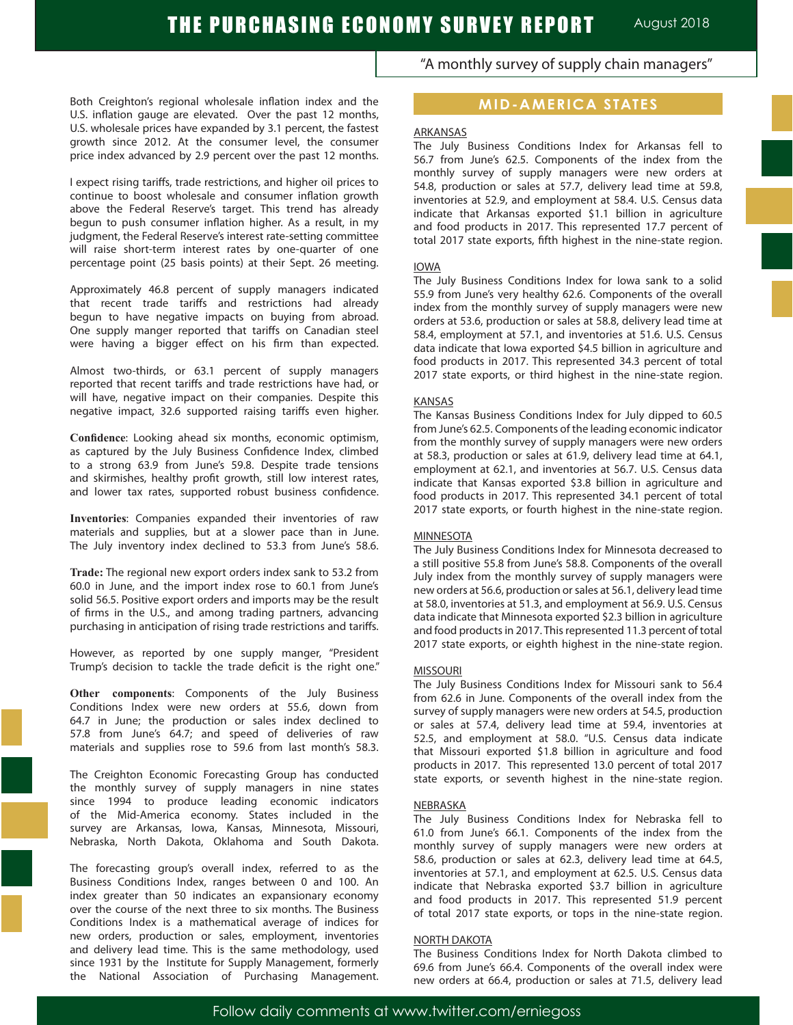Both Creighton's regional wholesale inflation index and the U.S. inflation gauge are elevated. Over the past 12 months, U.S. wholesale prices have expanded by 3.1 percent, the fastest growth since 2012. At the consumer level, the consumer price index advanced by 2.9 percent over the past 12 months.

I expect rising tariffs, trade restrictions, and higher oil prices to continue to boost wholesale and consumer inflation growth above the Federal Reserve's target. This trend has already begun to push consumer inflation higher. As a result, in my judgment, the Federal Reserve's interest rate-setting committee will raise short-term interest rates by one-quarter of one percentage point (25 basis points) at their Sept. 26 meeting.

Approximately 46.8 percent of supply managers indicated that recent trade tariffs and restrictions had already begun to have negative impacts on buying from abroad. One supply manger reported that tariffs on Canadian steel were having a bigger effect on his firm than expected.

Almost two-thirds, or 63.1 percent of supply managers reported that recent tariffs and trade restrictions have had, or will have, negative impact on their companies. Despite this negative impact, 32.6 supported raising tariffs even higher.

**Confidence**: Looking ahead six months, economic optimism, as captured by the July Business Confidence Index, climbed to a strong 63.9 from June's 59.8. Despite trade tensions and skirmishes, healthy profit growth, still low interest rates, and lower tax rates, supported robust business confidence.

**Inventories**: Companies expanded their inventories of raw materials and supplies, but at a slower pace than in June. The July inventory index declined to 53.3 from June's 58.6.

**Trade:** The regional new export orders index sank to 53.2 from 60.0 in June, and the import index rose to 60.1 from June's solid 56.5. Positive export orders and imports may be the result of firms in the U.S., and among trading partners, advancing purchasing in anticipation of rising trade restrictions and tariffs.

However, as reported by one supply manger, "President Trump's decision to tackle the trade deficit is the right one."

**Other components**: Components of the July Business Conditions Index were new orders at 55.6, down from 64.7 in June; the production or sales index declined to 57.8 from June's 64.7; and speed of deliveries of raw materials and supplies rose to 59.6 from last month's 58.3.

The Creighton Economic Forecasting Group has conducted the monthly survey of supply managers in nine states since 1994 to produce leading economic indicators of the Mid-America economy. States included in the survey are Arkansas, Iowa, Kansas, Minnesota, Missouri, Nebraska, North Dakota, Oklahoma and South Dakota.

The forecasting group's overall index, referred to as the Business Conditions Index, ranges between 0 and 100. An index greater than 50 indicates an expansionary economy over the course of the next three to six months. The Business Conditions Index is a mathematical average of indices for new orders, production or sales, employment, inventories and delivery lead time. This is the same methodology, used since 1931 by the Institute for Supply Management, formerly the National Association of Purchasing Management. "A monthly survey of supply chain managers"

### **MID-AMERICA STATES**

#### ARKANSAS

The July Business Conditions Index for Arkansas fell to 56.7 from June's 62.5. Components of the index from the monthly survey of supply managers were new orders at 54.8, production or sales at 57.7, delivery lead time at 59.8, inventories at 52.9, and employment at 58.4. U.S. Census data indicate that Arkansas exported \$1.1 billion in agriculture and food products in 2017. This represented 17.7 percent of total 2017 state exports, fifth highest in the nine-state region.

#### IOWA

The July Business Conditions Index for Iowa sank to a solid 55.9 from June's very healthy 62.6. Components of the overall index from the monthly survey of supply managers were new orders at 53.6, production or sales at 58.8, delivery lead time at 58.4, employment at 57.1, and inventories at 51.6. U.S. Census data indicate that Iowa exported \$4.5 billion in agriculture and food products in 2017. This represented 34.3 percent of total 2017 state exports, or third highest in the nine-state region.

#### KANSAS

The Kansas Business Conditions Index for July dipped to 60.5 from June's 62.5. Components of the leading economic indicator from the monthly survey of supply managers were new orders at 58.3, production or sales at 61.9, delivery lead time at 64.1, employment at 62.1, and inventories at 56.7. U.S. Census data indicate that Kansas exported \$3.8 billion in agriculture and food products in 2017. This represented 34.1 percent of total 2017 state exports, or fourth highest in the nine-state region.

#### MINNESOTA

The July Business Conditions Index for Minnesota decreased to a still positive 55.8 from June's 58.8. Components of the overall July index from the monthly survey of supply managers were new orders at 56.6, production or sales at 56.1, delivery lead time at 58.0, inventories at 51.3, and employment at 56.9. U.S. Census data indicate that Minnesota exported \$2.3 billion in agriculture and food products in 2017. This represented 11.3 percent of total 2017 state exports, or eighth highest in the nine-state region.

#### MISSOURI

The July Business Conditions Index for Missouri sank to 56.4 from 62.6 in June. Components of the overall index from the survey of supply managers were new orders at 54.5, production or sales at 57.4, delivery lead time at 59.4, inventories at 52.5, and employment at 58.0. "U.S. Census data indicate that Missouri exported \$1.8 billion in agriculture and food products in 2017. This represented 13.0 percent of total 2017 state exports, or seventh highest in the nine-state region.

#### NEBRASKA

The July Business Conditions Index for Nebraska fell to 61.0 from June's 66.1. Components of the index from the monthly survey of supply managers were new orders at 58.6, production or sales at 62.3, delivery lead time at 64.5, inventories at 57.1, and employment at 62.5. U.S. Census data indicate that Nebraska exported \$3.7 billion in agriculture and food products in 2017. This represented 51.9 percent of total 2017 state exports, or tops in the nine-state region.

### NORTH DAKOTA

The Business Conditions Index for North Dakota climbed to 69.6 from June's 66.4. Components of the overall index were new orders at 66.4, production or sales at 71.5, delivery lead

Follow daily comments at www.twitter.com/erniegoss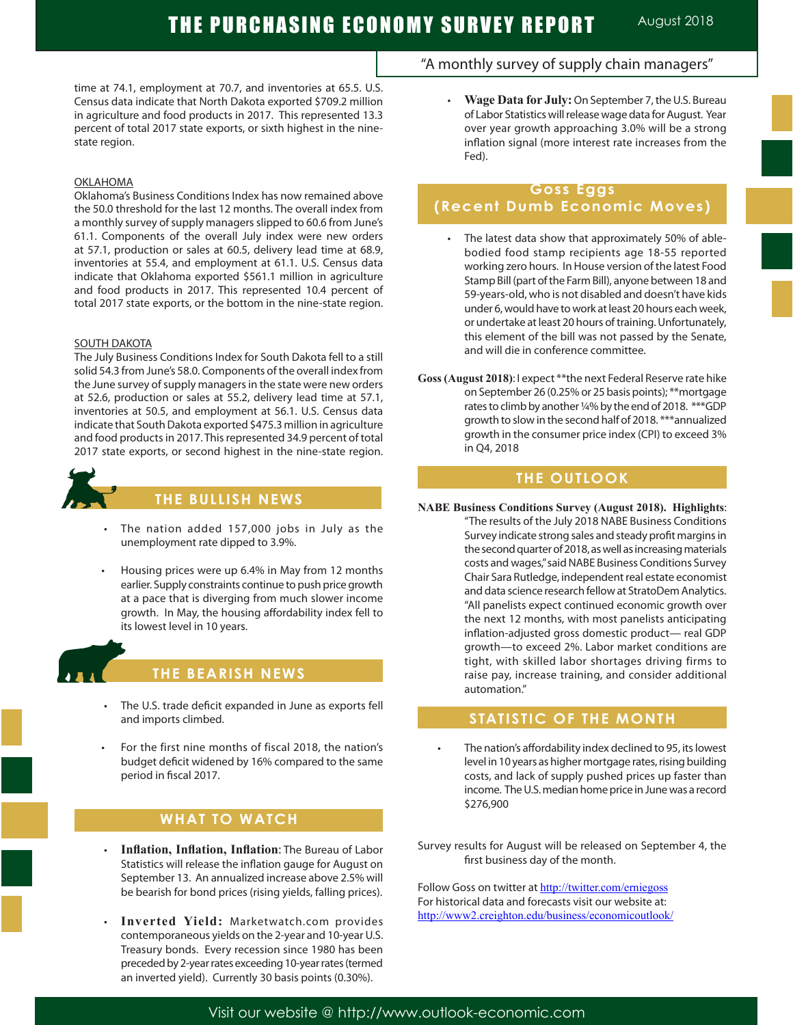time at 74.1, employment at 70.7, and inventories at 65.5. U.S. Census data indicate that North Dakota exported \$709.2 million in agriculture and food products in 2017. This represented 13.3 percent of total 2017 state exports, or sixth highest in the ninestate region.

#### OKLAHOMA

Oklahoma's Business Conditions Index has now remained above the 50.0 threshold for the last 12 months. The overall index from a monthly survey of supply managers slipped to 60.6 from June's 61.1. Components of the overall July index were new orders at 57.1, production or sales at 60.5, delivery lead time at 68.9, inventories at 55.4, and employment at 61.1. U.S. Census data indicate that Oklahoma exported \$561.1 million in agriculture and food products in 2017. This represented 10.4 percent of total 2017 state exports, or the bottom in the nine-state region.

#### SOUTH DAKOTA

The July Business Conditions Index for South Dakota fell to a still solid 54.3 from June's 58.0. Components of the overall index from the June survey of supply managers in the state were new orders at 52.6, production or sales at 55.2, delivery lead time at 57.1, inventories at 50.5, and employment at 56.1. U.S. Census data indicate that South Dakota exported \$475.3 million in agriculture and food products in 2017. This represented 34.9 percent of total 2017 state exports, or second highest in the nine-state region.



# **THE BULLISH NEWS**

- The nation added 157,000 jobs in July as the unemployment rate dipped to 3.9%.
- Housing prices were up 6.4% in May from 12 months earlier. Supply constraints continue to push price growth at a pace that is diverging from much slower income growth. In May, the housing affordability index fell to its lowest level in 10 years.



Ĩ

### **THE BEARISH NEWS**

- The U.S. trade deficit expanded in June as exports fell and imports climbed.
- For the first nine months of fiscal 2018, the nation's budget deficit widened by 16% compared to the same period in fiscal 2017.

### **WHAT TO WATCH**

- **Inflation, Inflation, Inflation: The Bureau of Labor** Statistics will release the inflation gauge for August on September 13. An annualized increase above 2.5% will be bearish for bond prices (rising yields, falling prices).
- Inverted Yield: Marketwatch.com provides contemporaneous yields on the 2-year and 10-year U.S. Treasury bonds. Every recession since 1980 has been preceded by 2-year rates exceeding 10-year rates (termed an inverted yield). Currently 30 basis points (0.30%).

### "A monthly survey of supply chain managers"

 • **Wage Data for July:** On September 7, the U.S. Bureau of Labor Statistics will release wage data for August. Year over year growth approaching 3.0% will be a strong inflation signal (more interest rate increases from the Fed).

# **Goss Eggs (Recent Dumb Economic Moves)**

- The latest data show that approximately 50% of ablebodied food stamp recipients age 18-55 reported working zero hours. In House version of the latest Food Stamp Bill (part of the Farm Bill), anyone between 18 and 59-years-old, who is not disabled and doesn't have kids under 6, would have to work at least 20 hours each week, or undertake at least 20 hours of training. Unfortunately, this element of the bill was not passed by the Senate, and will die in conference committee.
- **Goss (August 2018)**: I expect \*\*the next Federal Reserve rate hike on September 26 (0.25% or 25 basis points); \*\*mortgage rates to climb by another ¼% by the end of 2018. \*\*\*GDP growth to slow in the second half of 2018. \*\*\*annualized growth in the consumer price index (CPI) to exceed 3% in Q4, 2018

### **THE OUTLOOK**

**NABE Business Conditions Survey (August 2018). Highlights**: "The results of the July 2018 NABE Business Conditions Survey indicate strong sales and steady profit margins in the second quarter of 2018, as well as increasing materials costs and wages," said NABE Business Conditions Survey Chair Sara Rutledge, independent real estate economist and data science research fellow at StratoDem Analytics. "All panelists expect continued economic growth over the next 12 months, with most panelists anticipating inflation-adjusted gross domestic product— real GDP growth—to exceed 2%. Labor market conditions are tight, with skilled labor shortages driving firms to raise pay, increase training, and consider additional automation."

### **STATISTIC OF THE MONTH**

The nation's affordability index declined to 95, its lowest level in 10 years as higher mortgage rates, rising building costs, and lack of supply pushed prices up faster than income. The U.S. median home price in June was a record \$276,900

Survey results for August will be released on September 4, the first business day of the month.

Follow Goss on twitter at http://twitter.com/erniegoss For historical data and forecasts visit our website at: http://www2.creighton.edu/business/economicoutlook/